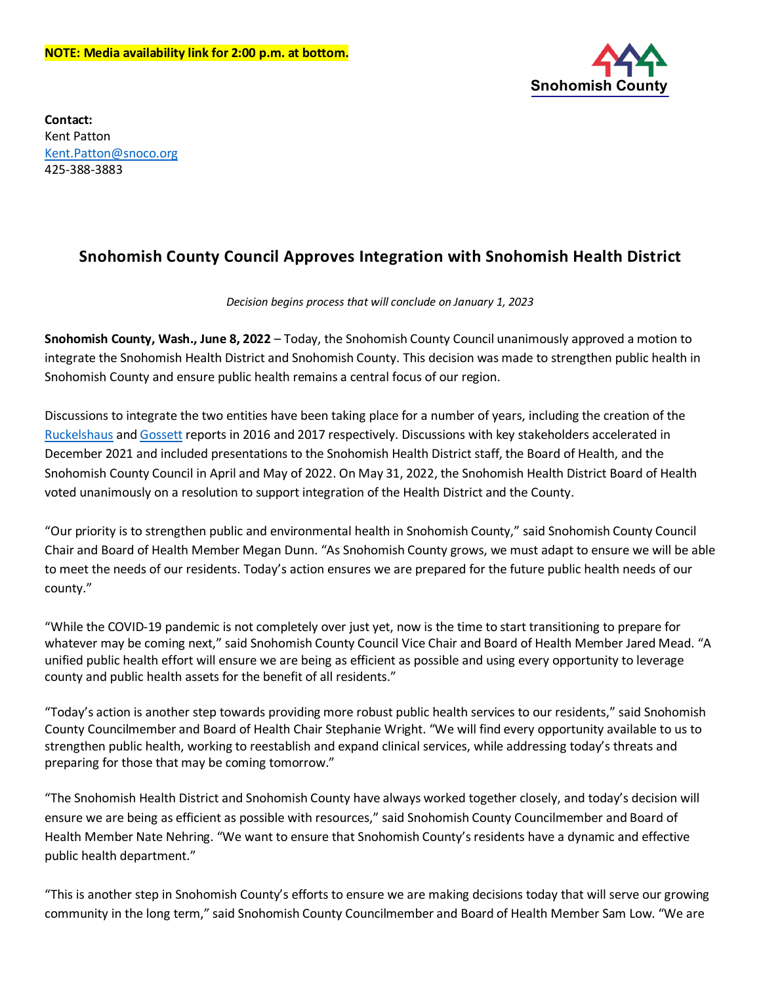

**Contact:** Kent Patton [Kent.Patton@snoco.org](mailto:Kent.Patton@snoco.org) 425-388-3883

## **Snohomish County Council Approves Integration with Snohomish Health District**

## *Decision begins process that will conclude on January 1, 2023*

**Snohomish County, Wash., June 8, 2022** – Today, the Snohomish County Council unanimously approved a motion to integrate the Snohomish Health District and Snohomish County. This decision was made to strengthen public health in Snohomish County and ensure public health remains a central focus of our region.

Discussions to integrate the two entities have been taking place for a number of years, including the creation of the [Ruckelshaus](https://www.snohd.org/DocumentCenter/View/502) an[d Gossett](https://snohomish.granicus.com/MetaViewer.php?clip_id=5795&meta_id=372660) reports in 2016 and 2017 respectively. Discussions with key stakeholders accelerated in December 2021 and included presentations to the Snohomish Health District staff, the Board of Health, and the Snohomish County Council in April and May of 2022. On May 31, 2022, the Snohomish Health District Board of Health voted unanimously on a resolution to support integration of the Health District and the County.

"Our priority is to strengthen public and environmental health in Snohomish County," said Snohomish County Council Chair and Board of Health Member Megan Dunn. "As Snohomish County grows, we must adapt to ensure we will be able to meet the needs of our residents. Today's action ensures we are prepared for the future public health needs of our county."

"While the COVID-19 pandemic is not completely over just yet, now is the time to start transitioning to prepare for whatever may be coming next," said Snohomish County Council Vice Chair and Board of Health Member Jared Mead. "A unified public health effort will ensure we are being as efficient as possible and using every opportunity to leverage county and public health assets for the benefit of all residents."

"Today's action is another step towards providing more robust public health services to our residents," said Snohomish County Councilmember and Board of Health Chair Stephanie Wright. "We will find every opportunity available to us to strengthen public health, working to reestablish and expand clinical services, while addressing today's threats and preparing for those that may be coming tomorrow."

"The Snohomish Health District and Snohomish County have always worked together closely, and today's decision will ensure we are being as efficient as possible with resources," said Snohomish County Councilmember and Board of Health Member Nate Nehring. "We want to ensure that Snohomish County's residents have a dynamic and effective public health department."

"This is another step in Snohomish County's efforts to ensure we are making decisions today that will serve our growing community in the long term," said Snohomish County Councilmember and Board of Health Member Sam Low. "We are